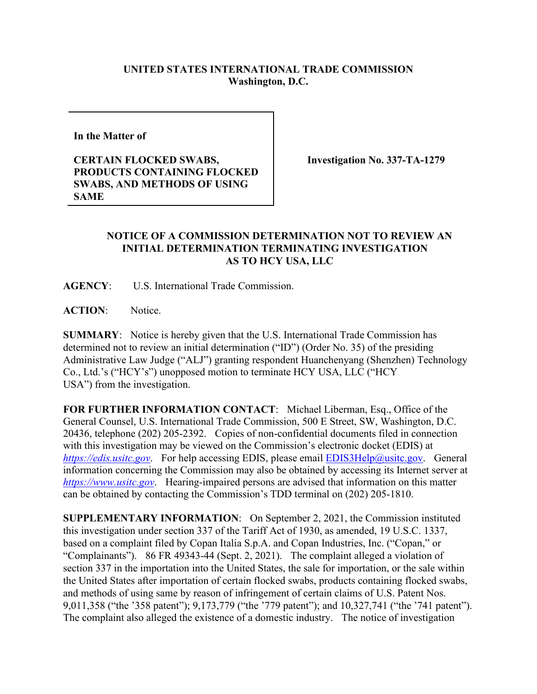## **UNITED STATES INTERNATIONAL TRADE COMMISSION Washington, D.C.**

**In the Matter of** 

**CERTAIN FLOCKED SWABS, PRODUCTS CONTAINING FLOCKED SWABS, AND METHODS OF USING SAME**

**Investigation No. 337-TA-1279**

## **NOTICE OF A COMMISSION DETERMINATION NOT TO REVIEW AN INITIAL DETERMINATION TERMINATING INVESTIGATION AS TO HCY USA, LLC**

**AGENCY**: U.S. International Trade Commission.

**ACTION**: Notice.

**SUMMARY**: Notice is hereby given that the U.S. International Trade Commission has determined not to review an initial determination ("ID") (Order No. 35) of the presiding Administrative Law Judge ("ALJ") granting respondent Huanchenyang (Shenzhen) Technology Co., Ltd.'s ("HCY's") unopposed motion to terminate HCY USA, LLC ("HCY USA") from the investigation.

**FOR FURTHER INFORMATION CONTACT**: Michael Liberman, Esq., Office of the General Counsel, U.S. International Trade Commission, 500 E Street, SW, Washington, D.C. 20436, telephone (202) 205-2392. Copies of non-confidential documents filed in connection with this investigation may be viewed on the Commission's electronic docket (EDIS) at *[https://edis.usitc.gov](https://edis.usitc.gov/)*. For help accessing EDIS, please email [EDIS3Help@usitc.gov.](mailto:EDIS3Help@usitc.gov) General information concerning the Commission may also be obtained by accessing its Internet server at *[https://www.usitc.gov](https://www.usitc.gov/)*. Hearing-impaired persons are advised that information on this matter can be obtained by contacting the Commission's TDD terminal on (202) 205-1810.

**SUPPLEMENTARY INFORMATION**: On September 2, 2021, the Commission instituted this investigation under section 337 of the Tariff Act of 1930, as amended, 19 U.S.C. 1337, based on a complaint filed by Copan Italia S.p.A. and Copan Industries, Inc. ("Copan," or "Complainants"). 86 FR 49343-44 (Sept. 2, 2021). The complaint alleged a violation of section 337 in the importation into the United States, the sale for importation, or the sale within the United States after importation of certain flocked swabs, products containing flocked swabs, and methods of using same by reason of infringement of certain claims of U.S. Patent Nos. 9,011,358 ("the '358 patent"); 9,173,779 ("the '779 patent"); and 10,327,741 ("the '741 patent"). The complaint also alleged the existence of a domestic industry. The notice of investigation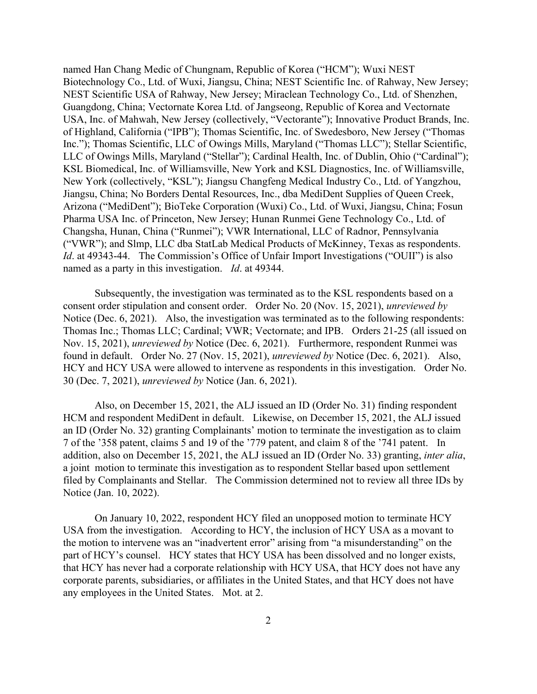named Han Chang Medic of Chungnam, Republic of Korea ("HCM"); Wuxi NEST Biotechnology Co., Ltd. of Wuxi, Jiangsu, China; NEST Scientific Inc. of Rahway, New Jersey; NEST Scientific USA of Rahway, New Jersey; Miraclean Technology Co., Ltd. of Shenzhen, Guangdong, China; Vectornate Korea Ltd. of Jangseong, Republic of Korea and Vectornate USA, Inc. of Mahwah, New Jersey (collectively, "Vectorante"); Innovative Product Brands, Inc. of Highland, California ("IPB"); Thomas Scientific, Inc. of Swedesboro, New Jersey ("Thomas Inc."); Thomas Scientific, LLC of Owings Mills, Maryland ("Thomas LLC"); Stellar Scientific, LLC of Owings Mills, Maryland ("Stellar"); Cardinal Health, Inc. of Dublin, Ohio ("Cardinal"); KSL Biomedical, Inc. of Williamsville, New York and KSL Diagnostics, Inc. of Williamsville, New York (collectively, "KSL"); Jiangsu Changfeng Medical Industry Co., Ltd. of Yangzhou, Jiangsu, China; No Borders Dental Resources, Inc., dba MediDent Supplies of Queen Creek, Arizona ("MediDent"); BioTeke Corporation (Wuxi) Co., Ltd. of Wuxi, Jiangsu, China; Fosun Pharma USA Inc. of Princeton, New Jersey; Hunan Runmei Gene Technology Co., Ltd. of Changsha, Hunan, China ("Runmei"); VWR International, LLC of Radnor, Pennsylvania ("VWR"); and Slmp, LLC dba StatLab Medical Products of McKinney, Texas as respondents. *Id.* at 49343-44. The Commission's Office of Unfair Import Investigations ("OUII") is also named as a party in this investigation. *Id*. at 49344.

Subsequently, the investigation was terminated as to the KSL respondents based on a consent order stipulation and consent order. Order No. 20 (Nov. 15, 2021), *unreviewed by* Notice (Dec. 6, 2021). Also, the investigation was terminated as to the following respondents: Thomas Inc.; Thomas LLC; Cardinal; VWR; Vectornate; and IPB. Orders 21-25 (all issued on Nov. 15, 2021), *unreviewed by* Notice (Dec. 6, 2021). Furthermore, respondent Runmei was found in default. Order No. 27 (Nov. 15, 2021), *unreviewed by* Notice (Dec. 6, 2021). Also, HCY and HCY USA were allowed to intervene as respondents in this investigation. Order No. 30 (Dec. 7, 2021), *unreviewed by* Notice (Jan. 6, 2021).

Also, on December 15, 2021, the ALJ issued an ID (Order No. 31) finding respondent HCM and respondent MediDent in default. Likewise, on December 15, 2021, the ALJ issued an ID (Order No. 32) granting Complainants' motion to terminate the investigation as to claim 7 of the '358 patent, claims 5 and 19 of the '779 patent, and claim 8 of the '741 patent. In addition, also on December 15, 2021, the ALJ issued an ID (Order No. 33) granting, *inter alia*, a joint motion to terminate this investigation as to respondent Stellar based upon settlement filed by Complainants and Stellar. The Commission determined not to review all three IDs by Notice (Jan. 10, 2022).

On January 10, 2022, respondent HCY filed an unopposed motion to terminate HCY USA from the investigation. According to HCY, the inclusion of HCY USA as a movant to the motion to intervene was an "inadvertent error" arising from "a misunderstanding" on the part of HCY's counsel. HCY states that HCY USA has been dissolved and no longer exists, that HCY has never had a corporate relationship with HCY USA, that HCY does not have any corporate parents, subsidiaries, or affiliates in the United States, and that HCY does not have any employees in the United States. Mot. at 2.